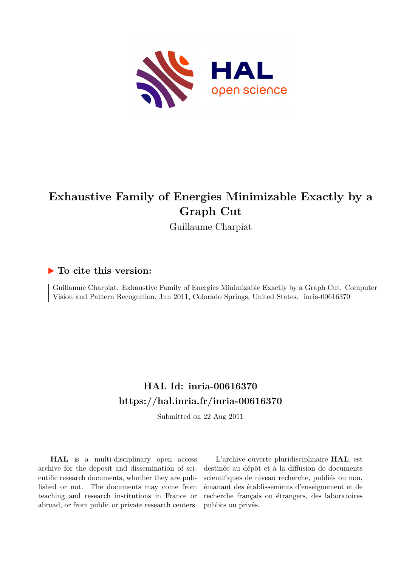

# **Exhaustive Family of Energies Minimizable Exactly by a Graph Cut**

Guillaume Charpiat

## **To cite this version:**

Guillaume Charpiat. Exhaustive Family of Energies Minimizable Exactly by a Graph Cut. Computer Vision and Pattern Recognition, Jun 2011, Colorado Springs, United States. inria-00616370

# **HAL Id: inria-00616370 <https://hal.inria.fr/inria-00616370>**

Submitted on 22 Aug 2011

**HAL** is a multi-disciplinary open access archive for the deposit and dissemination of scientific research documents, whether they are published or not. The documents may come from teaching and research institutions in France or abroad, or from public or private research centers.

L'archive ouverte pluridisciplinaire **HAL**, est destinée au dépôt et à la diffusion de documents scientifiques de niveau recherche, publiés ou non, émanant des établissements d'enseignement et de recherche français ou étrangers, des laboratoires publics ou privés.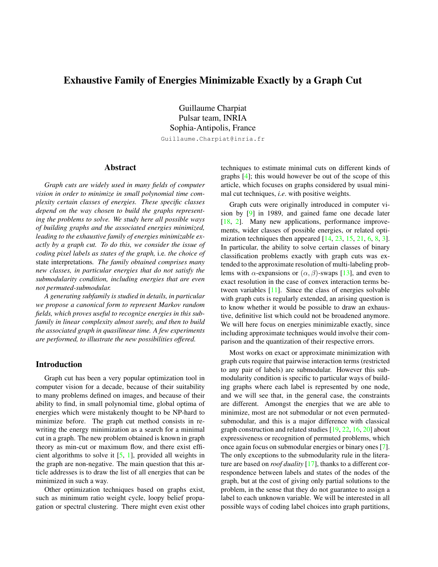## <span id="page-1-0"></span>Exhaustive Family of Energies Minimizable Exactly by a Graph Cut

Guillaume Charpiat Pulsar team, INRIA Sophia-Antipolis, France Guillaume.Charpiat@inria.fr

## Abstract

*Graph cuts are widely used in many fields of computer vision in order to minimize in small polynomial time complexity certain classes of energies. These specific classes depend on the way chosen to build the graphs representing the problems to solve. We study here all possible ways of building graphs and the associated energies minimized, leading to the exhaustive family of energies minimizable exactly by a graph cut. To do this, we consider the issue of coding pixel labels as states of the graph,* i.e*. the choice of* state interpretations*. The family obtained comprises many new classes, in particular energies that do not satisfy the submodularity condition, including energies that are even not permuted-submodular.*

*A generating subfamily is studied in details, in particular we propose a canonical form to represent Markov random fields, which proves useful to recognize energies in this subfamily in linear complexity almost surely, and then to build the associated graph in quasilinear time. A few experiments are performed, to illustrate the new possibilities offered.*

## Introduction

Graph cut has been a very popular optimization tool in computer vision for a decade, because of their suitability to many problems defined on images, and because of their ability to find, in small polynomial time, global optima of energies which were mistakenly thought to be NP-hard to minimize before. The graph cut method consists in rewriting the energy minimization as a search for a minimal cut in a graph. The new problem obtained is known in graph theory as min-cut or maximum flow, and there exist efficient algorithms to solve it [\[5,](#page-8-0) [1\]](#page-8-1), provided all weights in the graph are non-negative. The main question that this article addresses is to draw the list of all energies that can be minimized in such a way.

Other optimization techniques based on graphs exist, such as minimum ratio weight cycle, loopy belief propagation or spectral clustering. There might even exist other techniques to estimate minimal cuts on different kinds of graphs [\[4\]](#page-8-2); this would however be out of the scope of this article, which focuses on graphs considered by usual minimal cut techniques, *i.e*. with positive weights.

Graph cuts were originally introduced in computer vision by [\[9\]](#page-8-3) in 1989, and gained fame one decade later [\[18,](#page-8-4) [2\]](#page-8-5). Many new applications, performance improvements, wider classes of possible energies, or related optimization techniques then appeared  $[14, 23, 15, 21, 6, 8, 3]$  $[14, 23, 15, 21, 6, 8, 3]$  $[14, 23, 15, 21, 6, 8, 3]$  $[14, 23, 15, 21, 6, 8, 3]$  $[14, 23, 15, 21, 6, 8, 3]$  $[14, 23, 15, 21, 6, 8, 3]$  $[14, 23, 15, 21, 6, 8, 3]$  $[14, 23, 15, 21, 6, 8, 3]$  $[14, 23, 15, 21, 6, 8, 3]$  $[14, 23, 15, 21, 6, 8, 3]$  $[14, 23, 15, 21, 6, 8, 3]$  $[14, 23, 15, 21, 6, 8, 3]$ . In particular, the ability to solve certain classes of binary classification problems exactly with graph cuts was extended to the approximate resolution of multi-labeling problems with  $\alpha$ -expansions or  $(\alpha, \beta)$ -swaps [\[13\]](#page-8-13), and even to exact resolution in the case of convex interaction terms between variables [\[11\]](#page-8-14). Since the class of energies solvable with graph cuts is regularly extended, an arising question is to know whether it would be possible to draw an exhaustive, definitive list which could not be broadened anymore. We will here focus on energies minimizable exactly, since including approximate techniques would involve their comparison and the quantization of their respective errors.

Most works on exact or approximate minimization with graph cuts require that pairwise interaction terms (restricted to any pair of labels) are submodular. However this submodularity condition is specific to particular ways of building graphs where each label is represented by one node, and we will see that, in the general case, the constraints are different. Amongst the energies that we are able to minimize, most are not submodular or not even permutedsubmodular, and this is a major difference with classical graph construction and related studies [\[19,](#page-8-15) [22,](#page-8-16) [16,](#page-8-17) [20\]](#page-8-18) about expressiveness or recognition of permuted problems, which once again focus on submodular energies or binary ones [\[7\]](#page-8-19). The only exceptions to the submodularity rule in the literature are based on *roof duality* [\[17\]](#page-8-20), thanks to a different correspondence between labels and states of the nodes of the graph, but at the cost of giving only partial solutions to the problem, in the sense that they do not guarantee to assign a label to each unknown variable. We will be interested in all possible ways of coding label choices into graph partitions,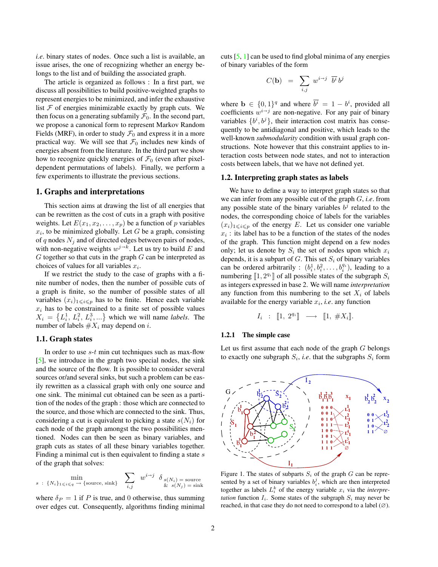<span id="page-2-1"></span>*i.e*. binary states of nodes. Once such a list is available, an issue arises, the one of recognizing whether an energy belongs to the list and of building the associated graph.

The article is organized as follows : In a first part, we discuss all possibilities to build positive-weighted graphs to represent energies to be minimized, and infer the exhaustive list  $F$  of energies minimizable exactly by graph cuts. We then focus on a generating subfamily  $\mathcal{F}_0$ . In the second part, we propose a canonical form to represent Markov Random Fields (MRF), in order to study  $\mathcal{F}_0$  and express it in a more practical way. We will see that  $\mathcal{F}_0$  includes new kinds of energies absent from the literature. In the third part we show how to recognize quickly energies of  $\mathcal{F}_0$  (even after pixeldependent permutations of labels). Finally, we perform a few experiments to illustrate the previous sections.

#### 1. Graphs and interpretations

This section aims at drawing the list of all energies that can be rewritten as the cost of cuts in a graph with positive weights. Let  $E(x_1, x_2, \ldots, x_p)$  be a function of p variables  $x_i$ , to be minimized globally. Let G be a graph, consisting of  $q$  nodes  $N_i$  and of directed edges between pairs of nodes, with non-negative weights  $w^{j \to k}$ . Let us try to build E and  $G$  together so that cuts in the graph  $G$  can be interpreted as choices of values for all variables  $x_i$ .

If we restrict the study to the case of graphs with a finite number of nodes, then the number of possible cuts of a graph is finite, so the number of possible states of all variables  $(x_i)_{1\leq i\leq p}$  has to be finite. Hence each variable  $x_i$  has to be constrained to a finite set of possible values  $X_i = \left\{L_i^1, L_i^2, L_i^3, ...\right\}$  which we will name *labels*. The number of labels  $#X_i$  may depend on *i*.

## 1.1. Graph states

In order to use  $s$ - $t$  min cut techniques such as max-flow [\[5\]](#page-8-0), we introduce in the graph two special nodes, the sink and the source of the flow. It is possible to consider several sources or/and several sinks, but such a problem can be easily rewritten as a classical graph with only one source and one sink. The minimal cut obtained can be seen as a partition of the nodes of the graph : those which are connected to the source, and those which are connected to the sink. Thus, considering a cut is equivalent to picking a state  $s(N_i)$  for each node of the graph amongst the two possibilities mentioned. Nodes can then be seen as binary variables, and graph cuts as states of all these binary variables together. Finding a minimal cut is then equivalent to finding a state  $s$ of the graph that solves:

$$
\min_{s \ : \ \{N_i\}_{1 \leqslant i \leqslant q} \to \text{ \{source, sink}\}} \quad \sum_{i,j} \quad w^{i \to j} \quad \delta_{\substack{s(N_i) = \text{source} \\ \& \ s(N_j) = \text{sink}}}
$$

where  $\delta_P = 1$  if P is true, and 0 otherwise, thus summing over edges cut. Consequently, algorithms finding minimal

cuts [\[5,](#page-8-0) [1\]](#page-8-1) can be used to find global minima of any energies of binary variables of the form

$$
C(\mathbf{b}) = \sum_{i,j} w^{i \to j} \overline{b^i} b^j
$$

where  $\mathbf{b} \in \{0,1\}^q$  and where  $\overline{b^i} = 1 - b^i$ , provided all coefficients  $w^{i\rightarrow j}$  are non-negative. For any pair of binary variables  $\{b^i, b^j\}$ , their interaction cost matrix has consequently to be antidiagonal and positive, which leads to the well-known *submodularity* condition with usual graph constructions. Note however that this constraint applies to interaction costs between node states, and not to interaction costs between labels, that we have not defined yet.

#### 1.2. Interpreting graph states as labels

We have to define a way to interpret graph states so that we can infer from any possible cut of the graph G, *i.e*. from any possible state of the binary variables  $b^j$  related to the nodes, the corresponding choice of labels for the variables  $(x_i)_{1\leq i\leq p}$  of the energy E. Let us consider one variable  $x_i$ : its label has to be a function of the states of the nodes of the graph. This function might depend on a few nodes only; let us denote by  $S_i$  the set of nodes upon which  $x_i$ depends, it is a subpart of  $G$ . This set  $S_i$  of binary variables can be ordered arbitrarily :  $(b_i^1, b_i^2, \ldots, b_i^{q_i})$ , leading to a numbering  $\llbracket 1, 2^{q_i} \rrbracket$  of all possible states of the subgraph  $S_i$ as integers expressed in base 2. We will name *interpretation* any function from this numbering to the set  $X_i$  of labels available for the energy variable  $x_i$ , *i.e.* any function

$$
I_i : [\![1, 2^{q_i}]\!] \longrightarrow [\![1, #X_i]\!].
$$

#### 1.2.1 The simple case

Let us first assume that each node of the graph  $G$  belongs to exactly one subgraph  $S_i$ , *i.e.* that the subgraphs  $S_i$  form



<span id="page-2-0"></span>Figure 1. The states of subparts  $S_i$  of the graph G can be represented by a set of binary variables  $b_i^j$ , which are then interpreted together as labels  $L_i^k$  of the energy variable  $x_i$  via the *interpretation* function  $I_i$ . Some states of the subgraph  $S_i$  may never be reached, in that case they do not need to correspond to a label  $(\emptyset)$ .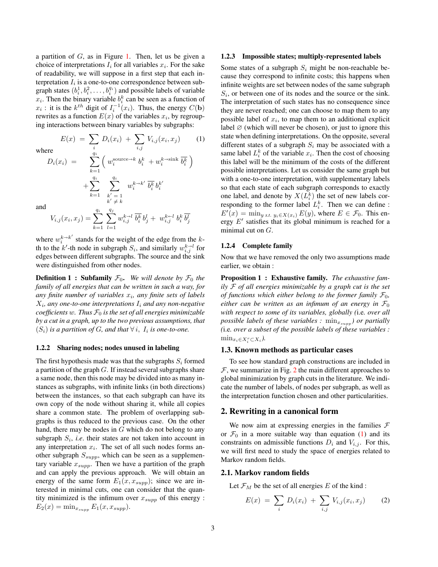a partition of  $G$ , as in Figure [1.](#page-2-0) Then, let us be given a choice of interpretations  $I_i$  for all variables  $x_i$ . For the sake of readability, we will suppose in a first step that each interpretation  $I_i$  is a one-to-one correspondence between subgraph states  $(b_i^1, b_i^2, \ldots, b_i^{q_i})$  and possible labels of variable  $x_i$ . Then the binary variable  $b_i^k$  can be seen as a function of  $x_i$ : it is the  $k^{th}$  digit of  $I_i^{-1}(x_i)$ . Thus, the energy  $C(\mathbf{b})$ rewrites as a function  $E(x)$  of the variables  $x_i$ , by regrouping interactions between binary variables by subgraphs:

whe

<span id="page-3-0"></span>
$$
E(x) = \sum_{i} D_{i}(x_{i}) + \sum_{i,j} V_{i,j}(x_{i}, x_{j})
$$
(1)  
ere  

$$
D_{i}(x_{i}) = \sum_{k=1}^{q_{i}} \left( w_{i}^{\text{source} \to k} b_{i}^{k} + w_{i}^{k} \sinh \overline{b_{i}^{k}} \right)
$$

$$
+ \sum_{k=1}^{q_{i}} \sum_{\substack{k'=1 \ k' \neq k}}^{q_{i}} w_{i}^{k \to k'} \overline{b_{i}^{k}} b_{i}^{k'}
$$
  
1  

$$
V_{i,j}(x_{i}, x_{j}) = \sum_{k=1}^{q_{i}} \sum_{j=1}^{q_{j}} w_{i,j}^{k \to l} \overline{b_{i}^{k}} b_{j}^{l} + w_{i,j}^{k \to l} b_{i}^{k} \overline{b_{j}^{l}}
$$

and

$$
V_{i,j}(x_i, x_j) = \sum_{k=1} \sum_{l=1} w_{i,j}^{k \to l} b_i^k b_j^l + w_{i,j}^{k \to l} b_i^k b_j^l
$$

where  $w_i^{k \to k}$ stands for the weight of the edge from the  $k$ th to the k'-th node in subgraph  $S_i$ , and similarly  $w_{i,j}^{k \to l}$  for edges between different subgraphs. The source and the sink were distinguished from other nodes.

**Definition 1 : Subfamily**  $\mathcal{F}_0$ . We will denote by  $\mathcal{F}_0$  the *family of all energies that can be written in such a way, for any finite number of variables* x<sup>i</sup> *, any finite sets of labels*  $X_i$ , any one-to-one interpretations  $I_i$  and any non-negative *coefficients* w. Thus  $F_0$  *is the set of all energies minimizable by a cut in a graph, up to the two previous assumptions, that*  $(S_i)$  *is a partition of G, and that*  $\forall i$ ,  $I_i$  *is one-to-one.* 

#### 1.2.2 Sharing nodes; nodes unused in labeling

The first hypothesis made was that the subgraphs  $S_i$  formed a partition of the graph  $G$ . If instead several subgraphs share a same node, then this node may be divided into as many instances as subgraphs, with infinite links (in both directions) between the instances, so that each subgraph can have its own copy of the node without sharing it, while all copies share a common state. The problem of overlapping subgraphs is thus reduced to the previous case. On the other hand, there may be nodes in G which do not belong to any subgraph  $S_i$ , *i.e.* their states are not taken into account in any interpretation  $x_i$ . The set of all such nodes forms another subgraph  $S_{supp}$ , which can be seen as a supplementary variable  $x_{supp}$ . Then we have a partition of the graph and can apply the previous approach. We will obtain an energy of the same form  $E_1(x, x_{supp})$ ; since we are interested in minimal cuts, one can consider that the quantity minimized is the infimum over  $x_{supp}$  of this energy :  $E_2(x) = \min_{x_{supp}} E_1(x, x_{supp}).$ 

#### 1.2.3 Impossible states; multiply-represented labels

Some states of a subgraph  $S_i$  might be non-reachable because they correspond to infinite costs; this happens when infinite weights are set between nodes of the same subgraph  $S_i$ , or between one of its nodes and the source or the sink. The interpretation of such states has no consequence since they are never reached; one can choose to map them to any possible label of  $x_i$ , to map them to an additional explicit label  $\varnothing$  (which will never be chosen), or just to ignore this state when defining interpretations. On the opposite, several different states of a subgraph  $S_i$  may be associated with a same label  $L_i^k$  of the variable  $x_i$ . Then the cost of choosing this label will be the minimum of the costs of the different possible interpretations. Let us consider the same graph but with a one-to-one interpretation, with supplementary labels so that each state of each subgraph corresponds to exactly one label, and denote by  $X(L_i^k)$  the set of new labels corresponding to the former label  $L_i^k$ . Then we can define :  $E'(x) = \min_{y \text{ s.t. } y_i \in X(x_i)} E(y)$ , where  $E \in \mathcal{F}_0$ . This energy  $E'$  satisfies that its global minimum is reached for a minimal cut on  $G$ .

#### 1.2.4 Complete family

<span id="page-3-2"></span>Now that we have removed the only two assumptions made earlier, we obtain :

Proposition 1 : Exhaustive family. *The exhaustive family* F *of all energies minimizable by a graph cut is the set of functions which either belong to the former family*  $\mathcal{F}_0$ *, either can be written as an infimum of an energy in*  $\mathcal{F}_0$ *with respect to some of its variables, globally (*i.e*. over all possible labels of these variables :*  $\min_{x_{supp}}$ ) *or partially (*i.e*. over a subset of the possible labels of these variables :*  $\min_{x_i \in X_i^r \subset X_i}$ ).

#### 1.3. Known methods as particular cases

To see how standard graph constructions are included in  $F$ , we summarize in Fig. [2](#page-4-0) the main different approaches to global minimization by graph cuts in the literature. We indicate the number of labels, of nodes per subgraph, as well as the interpretation function chosen and other particularities.

#### 2. Rewriting in a canonical form

We now aim at expressing energies in the families  $F$ or  $\mathcal{F}_0$  in a more suitable way than equation [\(1\)](#page-3-0) and its constraints on admissible functions  $D_i$  and  $V_{i,j}$ . For this, we will first need to study the space of energies related to Markov random fields.

## 2.1. Markov random fields

Let  $\mathcal{F}_M$  be the set of all energies  $E$  of the kind :

<span id="page-3-1"></span>
$$
E(x) = \sum_{i} D_i(x_i) + \sum_{i,j} V_{i,j}(x_i, x_j)
$$
 (2)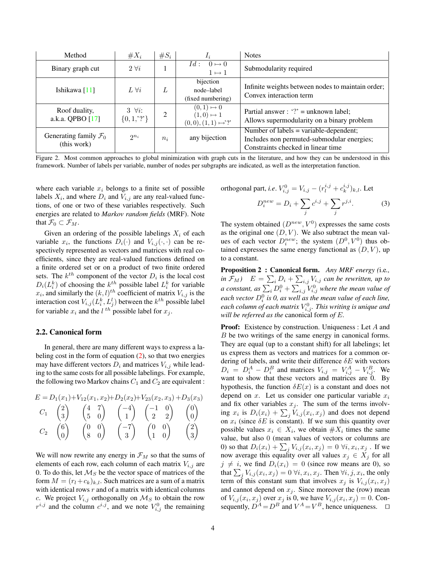<span id="page-4-2"></span>

| Method                                           | $\#X_i$                          | $#S_i$         | $I_i$                                                              | <b>Notes</b>                                                                                                               |
|--------------------------------------------------|----------------------------------|----------------|--------------------------------------------------------------------|----------------------------------------------------------------------------------------------------------------------------|
| Binary graph cut                                 | $2 \forall i$                    |                | $0 \mapsto 0$<br>Id:<br>$1 \mapsto 1$                              | Submodularity required                                                                                                     |
| Ishikawa [11]                                    | $L \forall i$                    | L              | bijection<br>node-label<br>(fixed numbering)                       | Infinite weights between nodes to maintain order;<br>Convex interaction term                                               |
| Roof duality,<br>a.k.a. QPBO [17]                | $3 \forall i$ :<br>$\{0,1,'?'\}$ | $\overline{2}$ | $(0,1) \mapsto 0$<br>$(1,0) \mapsto 1$<br>$(0,0), (1,1) \mapsto$ ? | Partial answer: $\degree$ = unknown label;<br>Allows supermodularity on a binary problem                                   |
| Generating family $\mathcal{F}_0$<br>(this work) | $2^{n_i}$                        | $n_i$          | any bijection                                                      | Number of labels = variable-dependent;<br>Includes non permuted-submodular energies;<br>Constraints checked in linear time |

<span id="page-4-0"></span>Figure 2. Most common approaches to global minimization with graph cuts in the literature, and how they can be understood in this framework. Number of labels per variable, number of nodes per subgraphs are indicated, as well as the interpretation function.

where each variable  $x_i$  belongs to a finite set of possible labels  $X_i$ , and where  $D_i$  and  $V_{i,j}$  are any real-valued functions, of one or two of these variables respectively. Such energies are related to *Markov random fields* (MRF). Note that  $\mathcal{F}_0 \subset \mathcal{F}_M$ .

Given an ordering of the possible labelings  $X_i$  of each variable  $x_i$ , the functions  $D_i(\cdot)$  and  $V_{i,j}(\cdot, \cdot)$  can be respectively represented as vectors and matrices with real coefficients, since they are real-valued functions defined on a finite ordered set or on a product of two finite ordered sets. The  $k^{th}$  component of the vector  $D_i$  is the local cost  $D_i(L_i^k)$  of choosing the  $k^{th}$  possible label  $L_i^k$  for variable  $x_i$ , and similarly the  $(k, l)^{th}$  coefficient of matrix  $V_{i,j}$  is the interaction cost  $V_{i,j}(L_i^k, L_j^l)$  between the  $k^{th}$  possible label for variable  $x_i$  and the  $l^{th}$  possible label for  $x_j$ .

#### 2.2. Canonical form

In general, there are many different ways to express a labeling cost in the form of equation  $(2)$ , so that two energies may have different vectors  $D_i$  and matrices  $V_{i,j}$  while leading to the same costs for all possible labelings. For example, the following two Markov chains  $C_1$  and  $C_2$  are equivalent :

$$
E = D_1(x_1) + V_{12}(x_1, x_2) + D_2(x_2) + V_{23}(x_2, x_3) + D_3(x_3)
$$
  
\n
$$
C_1 \begin{pmatrix} 2 \\ 3 \end{pmatrix} \begin{pmatrix} 4 & 7 \\ 5 & 0 \end{pmatrix} \begin{pmatrix} -4 \\ 1 \end{pmatrix} \begin{pmatrix} -1 & 0 \\ 2 & 2 \end{pmatrix} \begin{pmatrix} 0 \\ 0 \end{pmatrix}
$$
  
\n
$$
C_2 \begin{pmatrix} 6 \\ 0 \end{pmatrix} \begin{pmatrix} 0 & 0 \\ 8 & 0 \end{pmatrix} \begin{pmatrix} -7 \\ 3 \end{pmatrix} \begin{pmatrix} 0 & 0 \\ 1 & 0 \end{pmatrix} \begin{pmatrix} 2 \\ 3 \end{pmatrix}
$$

We will now rewrite any energy in  $\mathcal{F}_M$  so that the sums of elements of each row, each column of each matrix  $V_{i,j}$  are 0. To do this, let  $\mathcal{M}_S$  be the vector space of matrices of the form  $M = (r_l + c_k)_{k,l}$ . Such matrices are a sum of a matrix with identical rows  $r$  and of a matrix with identical columns c. We project  $V_{i,j}$  orthogonally on  $\mathcal{M}_S$  to obtain the row  $r^{i,j}$  and the column  $c^{i,j}$ , and we note  $V_{i,j}^0$  the remaining

orthogonal part, *i.e.* 
$$
V_{i,j}^0 = V_{i,j} - (r_l^{i,j} + c_k^{i,j})_{k,l}
$$
. Let  

$$
D_i^{new} = D_i + \sum_j c^{i,j} + \sum_j r^{j,i}.
$$
 (3)

The system obtained  $(D^{new}, V^0)$  expresses the same costs as the original one  $(D, V)$ . We also subtract the mean values of each vector  $D_i^{new}$ ; the system  $(D^0, V^0)$  thus obtained expresses the same energy functional as  $(D, V)$ , up to a constant.

<span id="page-4-1"></span>Proposition 2 : Canonical form. *Any MRF energy (*i.e*.,* in  $\mathcal{F}_M$ )  $E = \sum_i D_i + \sum_{i,j} V_{i,j}$  can be rewritten, up to *a constant, as*  $\sum_i D_i^0 + \sum_{i,j} V_{i,j}^0$  where the mean value of each vector  $D_i^0$  is 0, as well as the mean value of each line, *each column of each matrix* V 0 i,j *. This writing is unique and will be referred as the* canonical form *of* E*.*

**Proof:** Existence by construction. Uniqueness : Let A and B be two writings of the same energy in canonical forms. They are equal (up to a constant shift) for all labelings; let us express them as vectors and matrices for a common ordering of labels, and write their difference  $\delta E$  with vectors  $D_i = D_i^A - D_i^B$  and matrices  $V_{i,j} = V_{i,j}^A - V_{i,j}^B$ . We want to show that these vectors and matrices are  $0$ . By hypothesis, the function  $\delta E(x)$  is a constant and does not depend on x. Let us consider one particular variable  $x_i$ and fix other variables  $x_j$ . The sum of the terms involving  $x_i$  is  $D_i(x_i) + \sum_j V_{i,j}(x_i, x_j)$  and does not depend on  $x_i$  (since  $\delta E$  is constant). If we sum this quantity over possible values  $x_i \in X_i$ , we obtain  $\#X_i$  times the same value, but also 0 (mean values of vectors or columns are 0) so that  $D_i(x_i) + \sum_j V_{i,j}(x_i, x_j) = 0 \,\forall i, x_i, x_j$ . If we now average this equality over all values  $x_j \in X_j$  for all  $j \neq i$ , we find  $D_i(x_i) = 0$  (since row means are 0), so that  $\sum_j V_{i,j}(x_i, x_j) = 0 \; \forall i, x_i, x_j$ . Then  $\forall i, j, x_i$ , the only term of this constant sum that involves  $x_j$  is  $V_{i,j}(x_i, x_j)$ and cannot depend on  $x_j$ . Since moreover the (row) mean of  $V_{i,j}(x_i, x_j)$  over  $x_j$  is 0, we have  $V_{i,j}(x_i, x_j) = 0$ . Consequently,  $D^A = D^B$  and  $V^A = V^B$ , hence uniqueness.  $□$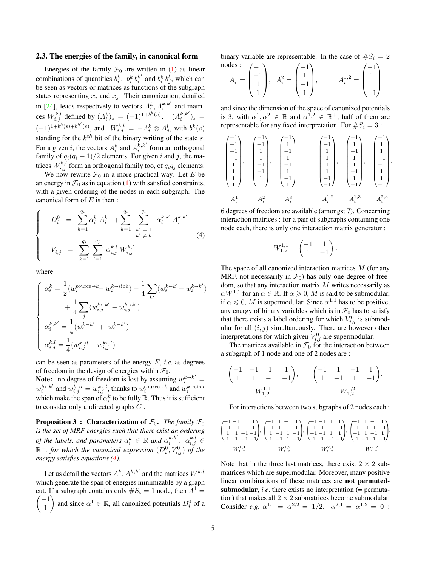#### <span id="page-5-2"></span>2.3. The energies of the family, in canonical form

Energies of the family  $\mathcal{F}_0$  are written in [\(1\)](#page-3-0) as linear combinations of quantities  $b_i^k$ ,  $\overline{b_i^k}$   $b_i^{k'}$  $i<sup>k'</sup>$  and  $b<sup>k</sup><sub>i</sub> b<sup>l</sup><sub>j</sub>$ , which can be seen as vectors or matrices as functions of the subgraph states representing  $x_i$  and  $x_j$ . Their canonization, detailed in [\[24\]](#page-8-21), leads respectively to vectors  $A_i^k$ ,  $A_i^{k,k'}$  and matrices  $W_{i,j}^{k,l}$  defined by  $(A_i^k)_{s} = (-1)^{1+b^k(s)}, (A_i^{k,k'})_{s} =$  $(-1)^{1+b^k(s)+b^{k'}(s)}$ , and  $W_{i,j}^{k,l} = -A_i^k \otimes A_j^l$ , with  $b^k(s)$ standing for the  $k^{th}$  bit of the binary writing of the state s. For a given i, the vectors  $A_i^k$  and  $A_i^{k,k'}$  form an orthogonal family of  $q_i(q_i + 1)/2$  elements. For given i and j, the matrices  $W_{i,j}^{k,l}$  form an orthogonal family too, of  $q_iq_j$  elements.

We now rewrite  $\mathcal{F}_0$  in a more practical way. Let E be an energy in  $\mathcal{F}_0$  as in equation [\(1\)](#page-3-0) with satisfied constraints, with a given ordering of the nodes in each subgraph. The canonical form of  $E$  is then :

$$
D_i^0 = \sum_{k=1}^{q_i} \alpha_i^k A_i^k + \sum_{k=1}^{q_i} \sum_{\substack{k'=1 \ k' \neq k}}^{q_i} \alpha_i^{k, k'} A_i^{k, k'}
$$
  

$$
V_{i,j}^0 = \sum_{k=1}^{q_i} \sum_{l=1}^{q_j} \alpha_{i,j}^{k,l} W_{i,j}^{k,l}
$$
 (4)

where

 $\sqrt{ }$  $\int$ 

<span id="page-5-0"></span> $\overline{\mathcal{L}}$ 

$$
\left\{ \begin{array}{l} \alpha_i^k = \frac{1}{2} (w_i^{\text{source}\to k} - w_i^{k\to \text{sink}}) + \frac{1}{4} \sum_{k'} (w_i^{k\gets k'} - w_i^{k\to k'}) \\ \qquad + \frac{1}{4} \sum_j (w_{i,j}^{k\gets k'} - w_{i,j}^{k\to k'}) \\ \alpha_i^{k,k'} = \frac{1}{4} (w_i^{k\to k'} + w_i^{k\gets k'}) \\ \alpha_{i,j}^{k,l} = \frac{1}{4} (w_{i,j}^{k\to l} + w_{i,j}^{k\gets l}) \end{array} \right.
$$

can be seen as parameters of the energy E, *i.e*. as degrees of freedom in the design of energies within  $\mathcal{F}_0$ .

**Note:** no degree of freedom is lost by assuming  $w_i^{k \to k'} =$  $w_i^{k+k'}$  $e^{k-k'}$  and  $w_{i,j}^{k\to l} = w_{i,j}^{k\leftarrow l}$ , thanks to  $w_i^{\text{source}\to k}$  and  $w_i^{k\to \text{sink}}$ which make the span of  $\alpha_i^k$  to be fully  $\mathbb R$ . Thus it is sufficient to consider only undirected graphs  $G$ .

<span id="page-5-1"></span>**Proposition 3 : Characterization of**  $\mathcal{F}_0$ . *The family*  $\mathcal{F}_0$ *is the set of MRF energies such that there exist an ordering of the labels, and parameters*  $\alpha_i^k \in \mathbb{R}$  and  $\alpha_i^{k,k'}$ ,  $\alpha_{i,j}^{k,l} \in$  $\mathbb{R}^+$ , for which the canonical expression  $(D_i^0, V_{i,j}^0)$  of the *energy satisfies equations [\(4\)](#page-5-0).*

Let us detail the vectors  $A^k$ ,  $A^{k,k'}$  and the matrices  $W^{k,l}$ which generate the span of energies minimizable by a graph cut. If a subgraph contains only  $\#S_i = 1$  node, then  $A^1 =$ <br> $\begin{pmatrix} -1 \\ 1 \end{pmatrix}$  and since  $A = \mathbb{R}$  all then solid and set of the  $D^0$ −1 1 ) and since  $\alpha^1 \in \mathbb{R}$ , all canonized potentials  $D_i^0$  of a binary variable are representable. In the case of  $\#S_i = 2$ 

nodes: 
$$
A_i^1 = \begin{pmatrix} -1 \\ -1 \\ 1 \\ 1 \end{pmatrix}, A_i^2 = \begin{pmatrix} -1 \\ 1 \\ -1 \\ 1 \end{pmatrix}, A_i^{1,2} = \begin{pmatrix} -1 \\ 1 \\ 1 \\ -1 \end{pmatrix}
$$

and since the dimension of the space of canonized potentials is 3, with  $\alpha^1, \alpha^2 \in \mathbb{R}$  and  $\alpha^{1,2} \in \mathbb{R}^+$ , half of them are representable for any fixed interpretation. For  $\#S_i = 3$ :

$$
\begin{pmatrix}\n-1 \\
-1 \\
-1 \\
-1 \\
1 \\
1 \\
1\n\end{pmatrix}, \quad\n\begin{pmatrix}\n-1 \\
-1 \\
1 \\
1 \\
-1 \\
1 \\
1\n\end{pmatrix}, \quad\n\begin{pmatrix}\n-1 \\
1 \\
-1 \\
1 \\
-1 \\
1 \\
1\n\end{pmatrix}, \quad\n\begin{pmatrix}\n-1 \\
-1 \\
1 \\
1 \\
1 \\
-1 \\
1\n\end{pmatrix}, \quad\n\begin{pmatrix}\n-1 \\
-1 \\
1 \\
1 \\
1 \\
-1 \\
-1\n\end{pmatrix}, \quad\n\begin{pmatrix}\n-1 \\
1 \\
-1 \\
1 \\
1 \\
-1 \\
-1\n\end{pmatrix}, \quad\n\begin{pmatrix}\n-1 \\
1 \\
-1 \\
1 \\
-1 \\
1 \\
-1\n\end{pmatrix}, \quad\n\begin{pmatrix}\n-1 \\
1 \\
1 \\
-1 \\
-1 \\
-1 \\
-1\n\end{pmatrix}, \quad\n\begin{pmatrix}\n-1 \\
1 \\
1 \\
-1 \\
-1 \\
-1 \\
-1\n\end{pmatrix}, \quad\n\begin{pmatrix}\n-1 \\
1 \\
1 \\
-1 \\
-1 \\
-1 \\
-1\n\end{pmatrix}, \quad\n\begin{pmatrix}\n-1 \\
1 \\
1 \\
-1 \\
-1 \\
-1 \\
-1\n\end{pmatrix}, \quad\n\begin{pmatrix}\n-1 \\
1 \\
1 \\
-1 \\
-1 \\
-1 \\
-1\n\end{pmatrix}, \quad\n\begin{pmatrix}\n-1 \\
1 \\
1 \\
-1 \\
-1 \\
-1 \\
-1\n\end{pmatrix}, \quad\n\begin{pmatrix}\n-1 \\
1 \\
-1 \\
-1 \\
-1 \\
-1\n\end{pmatrix}, \quad\n\begin{pmatrix}\n-1 \\
1 \\
-1 \\
-1 \\
-1 \\
-1\n\end{pmatrix}, \quad\n\begin{pmatrix}\n-1 \\
1 \\
-1 \\
-1 \\
-1 \\
-1\n\end{pmatrix}, \quad\n\begin{pmatrix}\n-1 \\
1 \\
-1 \\
-1 \\
-1 \\
-1\n\end{pmatrix}, \quad\n\begin{pmatrix}\n-1 \\
1 \\
-1 \\
-1 \\
-1 \\
-1\n\end{pmatrix}, \quad\n\begin{pmatrix}\n-1 \\
1 \\
-1 \\
-1 \\
-1 \\
-1\n\end{pmatrix}, \quad\n\begin{pmatrix}\n-1 \\
1 \\
-1 \\
-1 \\
-1 \\
-1\n\end{pmatrix}, \quad\n\begin{pmatrix}\n-1 \\
1 \\
-1 \\
-1 \\
-1 \\
-1\n\end{pmatrix}, \quad\n\begin{pmatrix}\n-1 \\
1 \\
-1 \\
-1 \\
-1 \\
-1\n\end{pmatrix}, \quad\n\begin{pmatrix}\n-1 \\
1 \\
-1 \\
-1 \\
$$

.

6 degrees of freedom are available (amongst 7). Concerning interaction matrices : for a pair of subgraphs containing one node each, there is only one interaction matrix generator :

$$
W_{1,2}^{1,1} = \begin{pmatrix} -1 & 1 \\ 1 & -1 \end{pmatrix}.
$$

The space of all canonized interaction matrices  $M$  (for any MRF, not necessarily in  $\mathcal{F}_0$ ) has only one degree of freedom, so that any interaction matrix  $M$  writes necessarily as  $\alpha W^{1,1}$  for an  $\alpha \in \mathbb{R}$ . If  $\alpha \geq 0$ , M is said to be submodular, if  $\alpha \leq 0$ , M is supermodular. Since  $\alpha^{1,1}$  has to be positive, any energy of binary variables which is in  $\mathcal{F}_0$  has to satisfy that there exists a label ordering for which  $V_{i,j}^0$  is submodular for all  $(i, j)$  simultaneously. There are however other interpretations for which given  $V_{i,j}^0$  are supermodular.

The matrices available in  $\mathcal{F}_0$  for the interaction between a subgraph of 1 node and one of 2 nodes are :

$$
\begin{pmatrix} -1 & -1 & 1 & 1 \ 1 & 1 & -1 & -1 \end{pmatrix}, \qquad \begin{pmatrix} -1 & 1 & -1 & 1 \ 1 & -1 & 1 & -1 \end{pmatrix}.
$$

$$
W_{1,2}^{1,1} \qquad W_{1,2}^{1,2}
$$

For interactions between two subgraphs of 2 nodes each :

$$
\begin{pmatrix} -1 & -1 & 1 & 1 & 1 \\ -1 & -1 & 1 & 1 & 1 \\ 1 & 1 & -1 & -1 & 1 \\ 1 & 1 & -1 & -1 & 1 \end{pmatrix}, \begin{pmatrix} -1 & 1 & -1 & 1 & 1 \\ -1 & 1 & -1 & 1 & 1 \\ 1 & -1 & 1 & -1 & 1 \\ 1 & -1 & 1 & -1 & 1 \end{pmatrix}, \begin{pmatrix} -1 & -1 & 1 & 1 & 1 \\ 1 & 1 & -1 & -1 & 1 \\ -1 & -1 & 1 & 1 & 1 \\ 1 & 1 & -1 & -1 & 1 \end{pmatrix}, \begin{pmatrix} -1 & 1 & -1 & 1 & 1 \\ 1 & -1 & 1 & -1 & 1 \\ -1 & 1 & 1 & -1 & 1 \\ 1 & -1 & 1 & 1 & -1 \end{pmatrix}.
$$
  
\n
$$
W_{1,2}^{1,1} \qquad W_{1,2}^{1,2} \qquad W_{1,2}^{2,1} \qquad W_{1,2}^{2,2}.
$$

Note that in the three last matrices, there exist  $2 \times 2$  submatrices which are supermodular. Moreover, many positive linear combinations of these matrices are not permutedsubmodular, *i.e.* there exists no interpretation  $(=$  permutation) that makes all  $2 \times 2$  submatrices become submodular. Consider *e.g.*  $\alpha^{1,1} = \alpha^{2,2} = 1/2$ ,  $\alpha^{2,1} = \alpha^{1,2} = 0$ :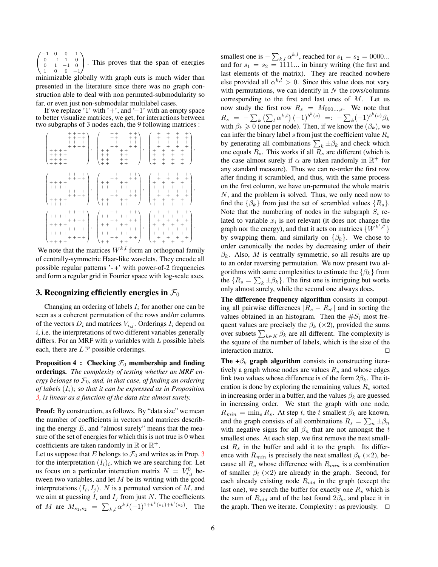$\left( \begin{matrix} -1 & 0 & 0 & 1 \\ 0 & -1 & 1 & 0 \\ 0 & 1 & -1 & 0 \\ 1 & 0 & 0 & -1 \end{matrix} \right)$  $\setminus$ . This proves that the span of energies minimizable globally with graph cuts is much wider than presented in the literature since there was no graph construction able to deal with non permuted-submodularity so far, or even just non-submodular multilabel cases.

If we replace '1' with '+', and ' $-1$ ' with an empty space to better visualize matrices, we get, for interactions between two subgraphs of 3 nodes each, the 9 following matrices :



We note that the matrices  $W^{k,l}$  form an orthogonal family of centrally-symmetric Haar-like wavelets. They encode all possible regular patterns '- +' with power-of-2 frequencies and form a regular grid in Fourier space with log-scale axes.

## 3. Recognizing efficiently energies in  $\mathcal{F}_0$

Changing an ordering of labels  $I_i$  for another one can be seen as a coherent permutation of the rows and/or columns of the vectors  $D_i$  and matrices  $V_{i,j}$ . Orderings  $I_i$  depend on  $i$ , i.e. the interpretations of two different variables generally differs. For an MRF with  $p$  variables with  $L$  possible labels each, there are  $L!^p$  possible orderings.

Proposition 4 : Checking  $\mathcal{F}_0$  membership and finding orderings. *The complexity of testing whether an MRF energy belongs to*  $\mathcal{F}_0$ *, and, in that case, of finding an ordering of labels*  $(I_i)_i$  *so that it can be expressed as in Proposition [3,](#page-5-1) is linear as a function of the data size almost surely.*

**Proof:** By construction, as follows. By "data size" we mean the number of coefficients in vectors and matrices describing the energy  $E$ , and "almost surely" means that the measure of the set of energies for which this is not true is 0 when coefficients are taken randomly in  $\mathbb R$  or  $\mathbb R^+$ .

Let us suppose that E belongs to  $\mathcal{F}_0$  and writes as in Prop. [3](#page-5-1) for the interpretation  $(I_i)_i$ , which we are searching for. Let us focus on a particular interaction matrix  $N = V_{i,j}^0$  between two variables, and let  $M$  be its writing with the good interpretations  $(I_i, I_j)$ . N is a permuted version of M, and we aim at guessing  $I_i$  and  $I_j$  from just N. The coefficients of M are  $M_{s_1,s_2} = \sum_{k,l} \alpha^{k,l} (-1)^{1+b^k(s_1)+b^l(s_2)}$ . The

smallest one is  $-\sum_{k,l} \alpha^{k,l}$ , reached for  $s_1 = s_2 = 0000...$ and for  $s_1 = s_2 = 1111...$  in binary writing (the first and last elements of the matrix). They are reached nowhere else provided all  $\alpha^{k,l} > 0$ . Since this value does not vary with permutations, we can identify in  $N$  the rows/columns corresponding to the first and last ones of  $M$ . Let us now study the first row  $R_s = M_{000...s}$ . We note that  $R_s = -\sum_k \left( \sum_l \alpha^{k,l} \right) (-1)^{b^k(s)} =: -\sum_k (-1)^{b^k(s)} \beta_k$ with  $\beta_k \geq 0$  (one per node). Then, if we know the  $(\beta_k)$ , we can infer the binary label s from just the coefficient value  $R_s$ by generating all combinations  $\sum_k \pm \beta_k$  and check which one equals  $R_s$ . This works if all  $R_s$  are different (which is the case almost surely if  $\alpha$  are taken randomly in  $\mathbb{R}^+$  for any standard measure). Thus we can re-order the first row after finding it scrambled, and thus, with the same process on the first column, we have un-permuted the whole matrix N, and the problem is solved. Thus, we only need now to find the  $\{\beta_k\}$  from just the set of scrambled values  $\{R_s\}$ . Note that the numbering of nodes in the subgraph  $S_i$  related to variable  $x_i$  is not relevant (it does not change the graph nor the energy), and that it acts on matrices  $\{W^{k',l'}\}$ by swapping them, and similarly on  $\{\beta_k\}$ . We chose to order canonically the nodes by decreasing order of their  $\beta_k$ . Also, M is centrally symmetric, so all results are up to an order reversing permutation. We now present two algorithms with same complexities to estimate the  $\{\beta_k\}$  from the  $\{R_s = \sum_k \pm \beta_k\}$ . The first one is intriguing but works only almost surely, while the second one always does.

The difference frequency algorithm consists in computing all pairwise differences  $|R_s - R_{s'}|$  and in sorting the values obtained in an histogram. Then the  $#S_i$  most frequent values are precisely the  $\beta_k$  (×2), provided the sums over subsets  $\sum_{k \in K} \beta_k$  are all different. The complexity is the square of the number of labels, which is the size of the interaction matrix. ⊓⊔

<span id="page-6-0"></span>The  $+\beta_k$  graph algorithm consists in constructing iteratively a graph whose nodes are values  $R_s$  and whose edges link two values whose difference is of the form  $2\beta_k$ . The iteration is done by exploring the remaining values  $R_s$  sorted in increasing order in a buffer, and the values  $\beta_k$  are guessed in increasing order. We start the graph with one node,  $R_{min} = \min_s R_s$ . At step t, the t smallest  $\beta_k$  are known, and the graph consists of all combinations  $R_s = \sum_n \pm \beta_n$ with negative signs for all  $\beta_n$  that are not amongst the t smallest ones. At each step, we first remove the next smallest  $R_s$  in the buffer and add it to the graph. Its difference with  $R_{min}$  is precisely the next smallest  $\beta_k$  (×2), because all  $R_s$  whose difference with  $R_{min}$  is a combination of smaller  $\beta_i$  ( $\times$ 2) are already in the graph. Second, for each already existing node  $R_{old}$  in the graph (except the last one), we search the buffer for exactly one  $R_s$  which is the sum of  $R_{old}$  and of the last found  $2\beta_k$ , and place it in the graph. Then we iterate. Complexity : as previously. ⊓⊔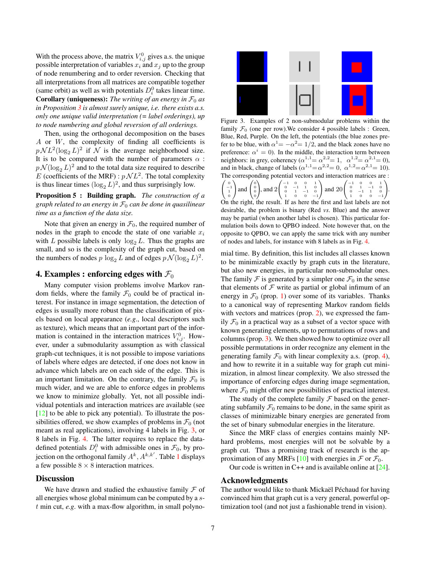<span id="page-7-1"></span>With the process above, the matrix  $V_{i,j}^0$  gives a.s. the unique possible interpretation of variables  $x_i$  and  $x_j$  up to the group of node renumbering and to order reversion. Checking that all interpretations from all matrices are compatible together (same orbit) as well as with potentials  $D_i^0$  takes linear time. **Corollary (uniqueness):** *The writing of an energy in*  $\mathcal{F}_0$  *as in Proposition [3](#page-5-1) is almost surely unique, i.e. there exists a.s. only one unique valid interpretation (= label orderings), up to node numbering and global reversion of all orderings.*

Then, using the orthogonal decomposition on the bases A or W, the complexity of finding all coefficients is  $p \mathcal{N} L^2(\log_2 L)^2$  if  $\mathcal N$  is the average neighborhood size. It is to be compared with the number of parameters  $\alpha$ :  $p\mathcal{N}(\log_2 L)^2$  and to the total data size required to describe E (coefficients of the MRF) :  $p \mathcal{N} L^2$ . The total complexity is thus linear times  $(\log_2 L)^2$ , and thus surprisingly low.

## Proposition 5 : Building graph. *The construction of a graph related to an energy in* F<sup>0</sup> *can be done in quasilinear time as a function of the data size.*

Note that given an energy in  $\mathcal{F}_0$ , the required number of nodes in the graph to encode the state of one variable  $x_i$ with L possible labels is only  $log_2 L$ . Thus the graphs are small, and so is the complexity of the graph cut, based on the numbers of nodes  $p \log_2 L$  and of edges  $p \mathcal{N}(\log_2 L)^2$ .

## 4. Examples : enforcing edges with  $\mathcal{F}_0$

Many computer vision problems involve Markov random fields, where the family  $\mathcal{F}_0$  could be of practical interest. For instance in image segmentation, the detection of edges is usually more robust than the classification of pixels based on local appearance (*e.g*., local descriptors such as texture), which means that an important part of the information is contained in the interaction matrices  $V_{i,j}^0$ . However, under a submodularity assumption as with classical graph-cut techniques, it is not possible to impose variations of labels where edges are detected, if one does not know in advance which labels are on each side of the edge. This is an important limitation. On the contrary, the family  $\mathcal{F}_0$  is much wider, and we are able to enforce edges in problems we know to minimize globally. Yet, not all possible individual potentials and interaction matrices are available (see [\[12\]](#page-8-22) to be able to pick any potential). To illustrate the possibilities offered, we show examples of problems in  $\mathcal{F}_0$  (not meant as real applications), involving 4 labels in Fig. [3,](#page-7-0) or 8 labels in Fig. [4.](#page-8-23) The latter requires to replace the datadefined potentials  $D_i^0$  with admissible ones in  $\mathcal{F}_0$ , by projection on the orthogonal family  $A^k$ ,  $A^{k,k'}$ . Table [1](#page-8-24) displays a few possible  $8 \times 8$  interaction matrices.

#### **Discussion**

We have drawn and studied the exhaustive family  $\mathcal F$  of all energies whose global minimum can be computed by a st min cut, *e.g*. with a max-flow algorithm, in small polyno-



<span id="page-7-0"></span>Figure 3. Examples of 2 non-submodular problems within the family  $\mathcal{F}_0$  (one per row). We consider 4 possible labels : Green, Blue, Red, Purple. On the left, the potentials (the blue zones prefer to be blue, with  $\alpha^1 = -\alpha^2 = 1/2$ , and the black zones have no preference:  $\alpha^i = 0$ ). In the middle, the interaction term between neighbors: in grey, coherency  $(\alpha^{1,1} = \alpha^{2,2} = 1, \alpha^{1,2} = \alpha^{2,1} = 0)$ , and in black, change of labels  $(\alpha^{1,1} = \alpha^{2,2} = 0, \ \alpha^{1,2} = \alpha^{2,1} = 10)$ . The corresponding potential vectors and interaction matrices are :  $\left(\begin{array}{c} 0 \\ -1 \\ 1 \\ 0 \end{array}\right)$  $\setminus$ and 0 0 0  $\setminus$ and  $2\vert$  $\left( \begin{array}{cccc} -1 & 0 & 0 & 1 \\ 0 & -1 & 1 & 0 \\ 0 & 1 & -1 & 0 \\ 1 & 0 & 0 & -1 \end{array} \right)$  $\setminus$ and 20  $0 \t 1 \t -1 \t 0$  $0 -1 1 0$ 1 0 0 −1  $\setminus$ . On the right, the result. If as here the first and last labels are not desirable, the problem is binary (Red *vs*. Blue) and the answer may be partial (when another label is chosen). This particular formulation boils down to QPBO indeed. Note however that, on the opposite to QPBO, we can apply the same trick with any number

of nodes and labels, for instance with 8 labels as in Fig. [4.](#page-8-23)

mial time. By definition, this list includes all classes known to be minimizable exactly by graph cuts in the literature, but also new energies, in particular non-submodular ones. The family  $\mathcal F$  is generated by a simpler one  $\mathcal F_0$  in the sense that elements of  $F$  write as partial or global infimum of an energy in  $\mathcal{F}_0$  (prop. [1\)](#page-3-2) over some of its variables. Thanks to a canonical way of representing Markov random fields with vectors and matrices (prop. [2\)](#page-4-1), we expressed the family  $\mathcal{F}_0$  in a practical way as a subset of a vector space with known generating elements, up to permutations of rows and columns (prop. [3\)](#page-5-1). We then showed how to optimize over all possible permutations in order recognize any element in the generating family  $\mathcal{F}_0$  with linear complexity a.s. (prop. [4\)](#page-6-0), and how to rewrite it in a suitable way for graph cut minimization, in almost linear complexity. We also stressed the importance of enforcing edges during image segmentation, where  $\mathcal{F}_0$  might offer new possibilities of practical interest.

The study of the complete family  $\mathcal F$  based on the generating subfamily  $\mathcal{F}_0$  remains to be done, in the same spirit as classes of minimizable binary energies are generated from the set of binary submodular energies in the literature.

Since the MRF class of energies contains mainly NPhard problems, most energies will not be solvable by a graph cut. Thus a promising track of research is the ap-proximation of any MRFs [\[10\]](#page-8-25) with energies in  $\mathcal F$  or  $\mathcal F_0$ .

Our code is written in  $C++$  and is available online at  $[24]$ .

## Acknowledgments

The author would like to thank Mickaël Péchaud for having convinced him that graph cut is a very general, powerful optimization tool (and not just a fashionable trend in vision).